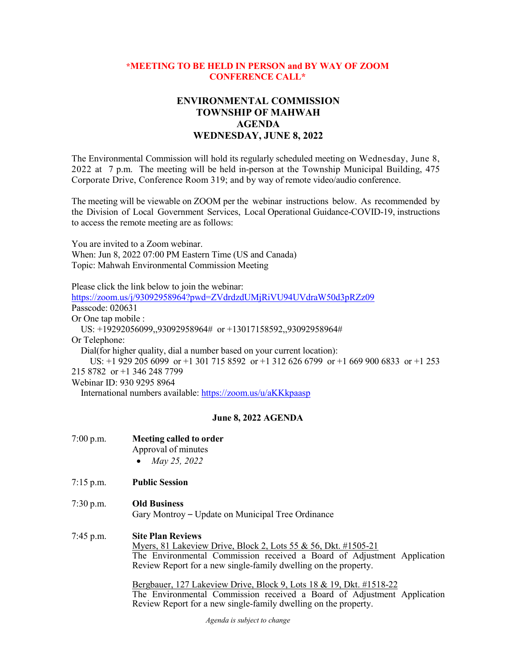## **\*MEETING TO BE HELD IN PERSON and BY WAY OF ZOOM CONFERENCE CALL\***

# **ENVIRONMENTAL COMMISSION TOWNSHIP OF MAHWAH AGENDA WEDNESDAY, JUNE 8, 2022**

The Environmental Commission will hold its regularly scheduled meeting on Wednesday, June 8, 2022 at 7 p.m. The meeting will be held in-person at the Township Municipal Building, 475 Corporate Drive, Conference Room 319; and by way of remote video/audio conference.

The meeting will be viewable on ZOOM per the webinar instructions below. As recommended by the Division of Local Government Services, Local Operational Guidance-COVID-19, instructions to access the remote meeting are as follows:

You are invited to a Zoom webinar. When: Jun 8, 2022 07:00 PM Eastern Time (US and Canada) Topic: Mahwah Environmental Commission Meeting

Please click the link below to join the webinar:

<https://zoom.us/j/93092958964?pwd=ZVdrdzdUMjRiVU94UVdraW50d3pRZz09> Passcode: 020631 Or One tap mobile : US: +19292056099,,93092958964# or +13017158592,,93092958964# Or Telephone: Dial(for higher quality, dial a number based on your current location): US: +1 929 205 6099 or +1 301 715 8592 or +1 312 626 6799 or +1 669 900 6833 or +1 253 215 8782 or +1 346 248 7799 Webinar ID: 930 9295 8964

International numbers available:<https://zoom.us/u/aKKkpaasp>

## **June 8, 2022 AGENDA**

| $7:00$ p.m. | Meeting called to order   |
|-------------|---------------------------|
|             | Approval of minutes       |
|             | May 25, 2022<br>$\bullet$ |

7:15 p.m. **Public Session**

## 7:30 p.m. **Old Business**

Gary Montroy – Update on Municipal Tree Ordinance

### 7:45 p.m. **Site Plan Reviews**

Myers, 81 Lakeview Drive, Block 2, Lots 55 & 56, Dkt. #1505-21 The Environmental Commission received a Board of Adjustment Application Review Report for a new single-family dwelling on the property.

Bergbauer, 127 Lakeview Drive, Block 9, Lots 18 & 19, Dkt. #1518-22 The Environmental Commission received a Board of Adjustment Application Review Report for a new single-family dwelling on the property.

*Agenda is subject to change*